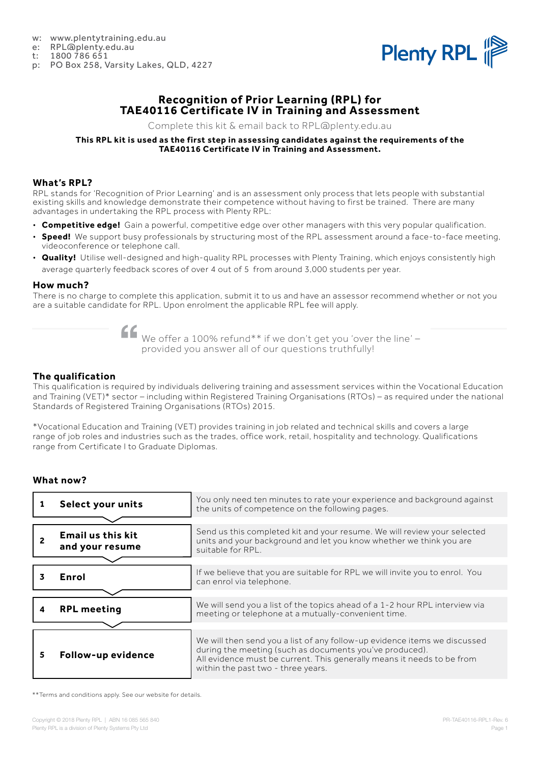- w: www.plentytraining.edu.au
- e: RPL@plenty.edu.au<br>t: 1800 786 651
- 1800 786 651
- p: PO Box 258, Varsity Lakes, QLD, 4227



## **Recognition of Prior Learning (RPL) for TAE40116 Certificate IV in Training and Assessment**

Complete this kit & email back to RPL@plenty.edu.au

#### **This RPL kit is used as the first step in assessing candidates against the requirements of the TAE40116 Certificate IV in Training and Assessment.**

### **What's RPL?**

RPL stands for 'Recognition of Prior Learning' and is an assessment only process that lets people with substantial existing skills and knowledge demonstrate their competence without having to first be trained. There are many advantages in undertaking the RPL process with Plenty RPL:

- **Competitive edge!** Gain a powerful, competitive edge over other managers with this very popular qualification.
- **Speed!** We support busy professionals by structuring most of the RPL assessment around a face-to-face meeting, videoconference or telephone call.
- **Quality!** Utilise well-designed and high-quality RPL processes with Plenty Training, which enjoys consistently high average quarterly feedback scores of over 4 out of 5 from around 3,000 students per year.

#### **How much?**

There is no charge to complete this application, submit it to us and have an assessor recommend whether or not you are a suitable candidate for RPL. Upon enrolment the applicable RPL fee will apply.

We offer a 100% refund<sup>\*\*</sup> if we don't get you 'over the line' provided you answer all of our questions truthfully!

### **The qualification**

This qualification is required by individuals delivering training and assessment services within the Vocational Education and Training (VET)\* sector – including within Registered Training Organisations (RTOs) – as required under the national Standards of Registered Training Organisations (RTOs) 2015.

\*Vocational Education and Training (VET) provides training in job related and technical skills and covers a large range of job roles and industries such as the trades, office work, retail, hospitality and technology. Qualifications range from Certificate I to Graduate Diplomas.

### **What now?**

|    | Select your units                           | You only need ten minutes to rate your experience and background against<br>the units of competence on the following pages.                                                                                                                          |
|----|---------------------------------------------|------------------------------------------------------------------------------------------------------------------------------------------------------------------------------------------------------------------------------------------------------|
|    | <b>Email us this kit</b><br>and your resume | Send us this completed kit and your resume. We will review your selected<br>units and your background and let you know whether we think you are<br>suitable for RPL.                                                                                 |
|    |                                             |                                                                                                                                                                                                                                                      |
|    | Enrol                                       | If we believe that you are suitable for RPL we will invite you to enrol. You<br>can enrol via telephone.                                                                                                                                             |
|    |                                             |                                                                                                                                                                                                                                                      |
|    | <b>RPL meeting</b>                          | We will send you a list of the topics ahead of a 1-2 hour RPL interview via<br>meeting or telephone at a mutually-convenient time.                                                                                                                   |
|    |                                             |                                                                                                                                                                                                                                                      |
| 5. | Follow-up evidence                          | We will then send you a list of any follow-up evidence items we discussed<br>during the meeting (such as documents you've produced).<br>All evidence must be current. This generally means it needs to be from<br>within the past two - three years. |

\*\*Terms and conditions apply. See our website for details.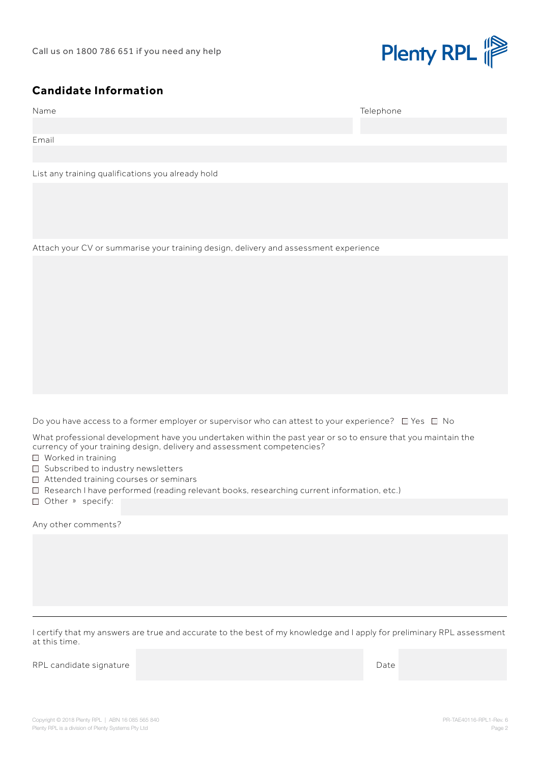

## **Candidate Information**

| Name  | Telephone |
|-------|-----------|
|       |           |
| Email |           |
|       |           |

List any training qualifications you already hold

Attach your CV or summarise your training design, delivery and assessment experience

Do you have access to a former employer or supervisor who can attest to your experience?  $\Box$  Yes  $\Box$  No

What professional development have you undertaken within the past year or so to ensure that you maintain the currency of your training design, delivery and assessment competencies?

- Worked in training
- □ Subscribed to industry newsletters
- □ Attended training courses or seminars
- Research I have performed (reading relevant books, researching current information, etc.)
- Other » specify:

Any other comments?

I certify that my answers are true and accurate to the best of my knowledge and I apply for preliminary RPL assessment at this time.

RPL candidate signature and the control of the control of the control of the control of the control of the control of the control of the control of the control of the control of the control of the control of the control of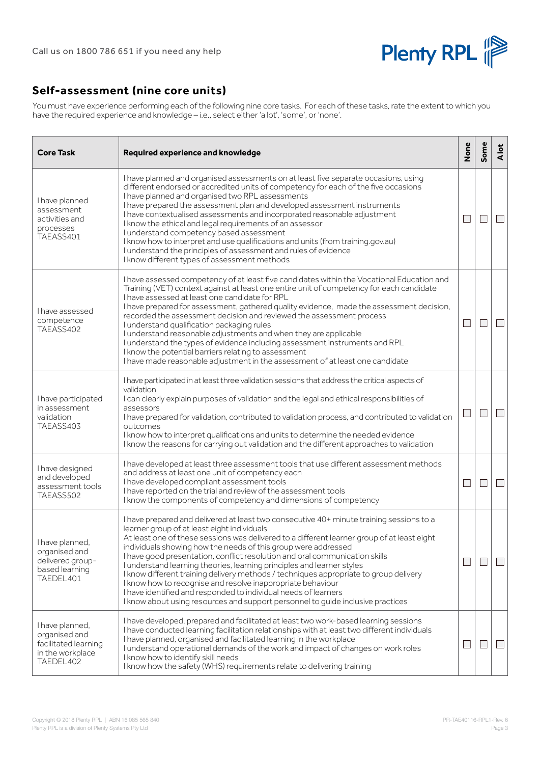

# **Self-assessment (nine core units)**

You must have experience performing each of the following nine core tasks. For each of these tasks, rate the extent to which you have the required experience and knowledge – i.e., select either 'a lot', 'some', or 'none'.

| <b>Core Task</b>                                                                          | Required experience and knowledge                                                                                                                                                                                                                                                                                                                                                                                                                                                                                                                                                                                                                                                                                                                                               | None                        | Some | <b>A</b> lot             |
|-------------------------------------------------------------------------------------------|---------------------------------------------------------------------------------------------------------------------------------------------------------------------------------------------------------------------------------------------------------------------------------------------------------------------------------------------------------------------------------------------------------------------------------------------------------------------------------------------------------------------------------------------------------------------------------------------------------------------------------------------------------------------------------------------------------------------------------------------------------------------------------|-----------------------------|------|--------------------------|
| I have planned<br>assessment<br>activities and<br>processes<br>TAEASS401                  | I have planned and organised assessments on at least five separate occasions, using<br>different endorsed or accredited units of competency for each of the five occasions<br>I have planned and organised two RPL assessments<br>I have prepared the assessment plan and developed assessment instruments<br>I have contextualised assessments and incorporated reasonable adjustment<br>I know the ethical and legal requirements of an assessor<br>I understand competency based assessment<br>I know how to interpret and use qualifications and units (from training gov.au)<br>I understand the principles of assessment and rules of evidence<br>I know different types of assessment methods                                                                            |                             |      |                          |
| l have assessed<br>competence<br>TAEASS402                                                | I have assessed competency of at least five candidates within the Vocational Education and<br>Training (VET) context against at least one entire unit of competency for each candidate<br>I have assessed at least one candidate for RPL<br>I have prepared for assessment, gathered quality evidence, made the assessment decision,<br>recorded the assessment decision and reviewed the assessment process<br>I understand qualification packaging rules<br>I understand reasonable adjustments and when they are applicable<br>I understand the types of evidence including assessment instruments and RPL<br>I know the potential barriers relating to assessment<br>I have made reasonable adjustment in the assessment of at least one candidate                          | $\mathcal{L}_{\mathcal{A}}$ |      | $\overline{\phantom{0}}$ |
| I have participated<br>in assessment<br>validation<br>TAEASS403                           | I have participated in at least three validation sessions that address the critical aspects of<br>validation<br>I can clearly explain purposes of validation and the legal and ethical responsibilities of<br>assessors<br>I have prepared for validation, contributed to validation process, and contributed to validation<br>outcomes<br>I know how to interpret qualifications and units to determine the needed evidence<br>I know the reasons for carrying out validation and the different approaches to validation                                                                                                                                                                                                                                                       | L.                          |      | $\Box$                   |
| I have designed<br>and developed<br>assessment tools<br>TAEASS502                         | I have developed at least three assessment tools that use different assessment methods<br>and address at least one unit of competency each<br>I have developed compliant assessment tools<br>I have reported on the trial and review of the assessment tools<br>I know the components of competency and dimensions of competency                                                                                                                                                                                                                                                                                                                                                                                                                                                | $\mathcal{L}_{\mathcal{A}}$ |      |                          |
| I have planned,<br>organised and<br>delivered group-<br>based learning<br>TAEDEL401       | I have prepared and delivered at least two consecutive 40+ minute training sessions to a<br>learner group of at least eight individuals<br>At least one of these sessions was delivered to a different learner group of at least eight<br>individuals showing how the needs of this group were addressed<br>I have good presentation, conflict resolution and oral communication skills<br>I understand learning theories, learning principles and learner styles<br>I know different training delivery methods / techniques appropriate to group delivery<br>I know how to recognise and resolve inappropriate behaviour<br>I have identified and responded to individual needs of learners<br>I know about using resources and support personnel to quide inclusive practices | ×.                          |      |                          |
| I have planned,<br>organised and<br>facilitated learning<br>in the workplace<br>TAEDEL402 | I have developed, prepared and facilitated at least two work-based learning sessions<br>I have conducted learning facilitation relationships with at least two different individuals<br>I have planned, organised and facilitated learning in the workplace<br>I understand operational demands of the work and impact of changes on work roles<br>I know how to identify skill needs<br>I know how the safety (WHS) requirements relate to delivering training                                                                                                                                                                                                                                                                                                                 |                             |      |                          |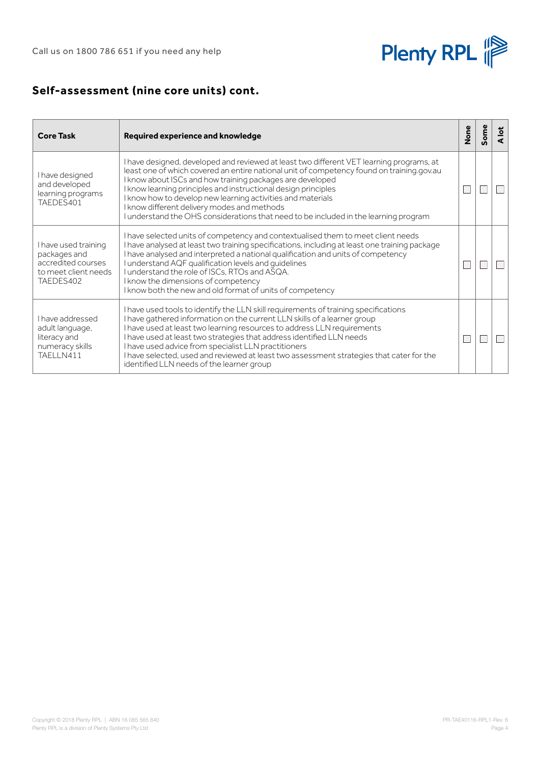

# **Self-assessment (nine core units) cont.**

| <b>Core Task</b>                                                                                | Required experience and knowledge                                                                                                                                                                                                                                                                                                                                                                                                                                                                                          | None         | ome | <b>A</b> lot |
|-------------------------------------------------------------------------------------------------|----------------------------------------------------------------------------------------------------------------------------------------------------------------------------------------------------------------------------------------------------------------------------------------------------------------------------------------------------------------------------------------------------------------------------------------------------------------------------------------------------------------------------|--------------|-----|--------------|
| I have designed<br>and developed<br>learning programs<br>TAEDES401                              | I have designed, developed and reviewed at least two different VET learning programs, at<br>least one of which covered an entire national unit of competency found on training gov.au<br>I know about ISCs and how training packages are developed<br>I know learning principles and instructional design principles<br>I know how to develop new learning activities and materials<br>I know different delivery modes and methods<br>I understand the OHS considerations that need to be included in the learning program | $\mathbf{L}$ |     |              |
| I have used training<br>packages and<br>accredited courses<br>to meet client needs<br>TAEDES402 | I have selected units of competency and contextualised them to meet client needs<br>I have analysed at least two training specifications, including at least one training package<br>I have analysed and interpreted a national qualification and units of competency<br>I understand AQF qualification levels and guidelines<br>I understand the role of ISCs, RTOs and ASQA.<br>I know the dimensions of competency<br>I know both the new and old format of units of competency                                         |              |     |              |
| I have addressed<br>adult language,<br>literacy and<br>numeracy skills<br>TAELLN411             | I have used tools to identify the LLN skill requirements of training specifications<br>I have gathered information on the current LLN skills of a learner group<br>I have used at least two learning resources to address LLN requirements<br>I have used at least two strategies that address identified LLN needs<br>I have used advice from specialist LLN practitioners<br>I have selected, used and reviewed at least two assessment strategies that cater for the<br>identified LLN needs of the learner group       | Г            |     |              |